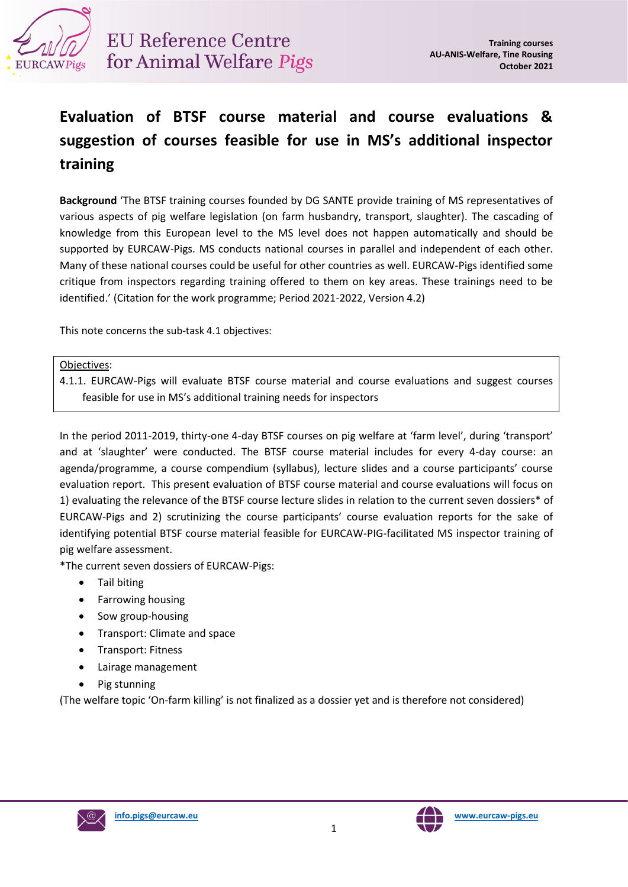

## **Evaluation of BTSF course material and course evaluations & suggestion of courses feasible for use in MS's additional inspector training**

**Background** 'The BTSF training courses founded by DG SANTE provide training of MS representatives of various aspects of pig welfare legislation (on farm husbandry, transport, slaughter). The cascading of knowledge from this European level to the MS level does not happen automatically and should be supported by EURCAW-Pigs. MS conducts national courses in parallel and independent of each other. Many of these national courses could be useful for other countries as well. EURCAW-Pigs identified some critique from inspectors regarding training offered to them on key areas. These trainings need to be identified.' (Citation for the work programme; Period 2021-2022, Version 4.2)

This note concerns the sub-task 4.1 objectives:

#### Objectives:

4.1.1. EURCAW-Pigs will evaluate BTSF course material and course evaluations and suggest courses feasible for use in MS's additional training needs for inspectors

In the period 2011-2019, thirty-one 4-day BTSF courses on pig welfare at 'farm level', during 'transport' and at 'slaughter' were conducted. The BTSF course material includes for every 4-day course: an agenda/programme, a course compendium (syllabus), lecture slides and a course participants' course evaluation report. This present evaluation of BTSF course material and course evaluations will focus on 1) evaluating the relevance of the BTSF course lecture slides in relation to the current seven dossiers\* of EURCAW-Pigs and 2) scrutinizing the course participants' course evaluation reports for the sake of identifying potential BTSF course material feasible for EURCAW-PIG-facilitated MS inspector training of pig welfare assessment.

\*The current seven dossiers of EURCAW-Pigs:

- Tail biting
- Farrowing housing
- Sow group-housing
- Transport: Climate and space
- Transport: Fitness
- Lairage management
- Pig stunning

(The welfare topic 'On-farm killing' is not finalized as a dossier yet and is therefore not considered)



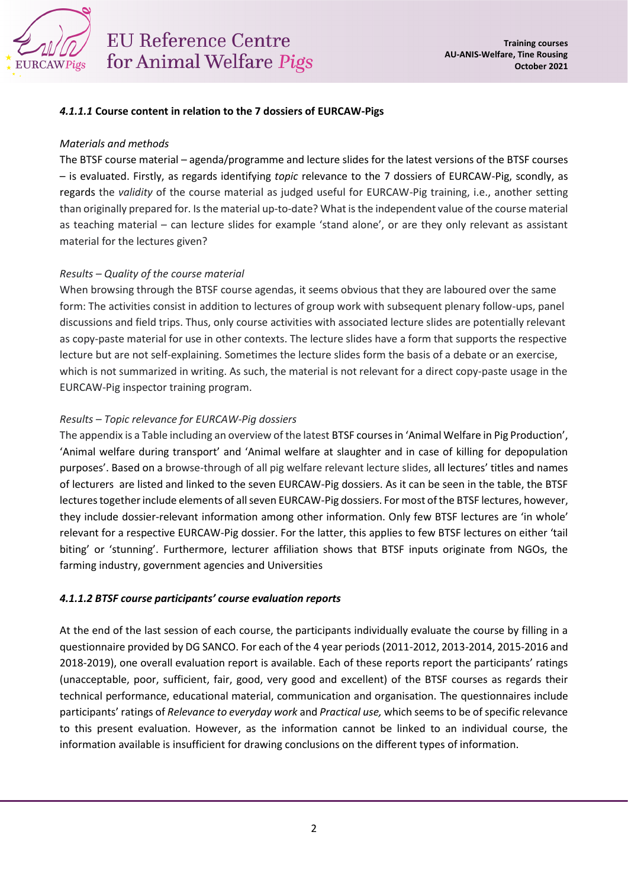

# **EU Reference Centre** for Animal Welfare Pigs

#### *4.1.1.1* **Course content in relation to the 7 dossiers of EURCAW-Pigs**

#### *Materials and methods*

The BTSF course material – agenda/programme and lecture slides for the latest versions of the BTSF courses – is evaluated. Firstly, as regards identifying *topic* relevance to the 7 dossiers of EURCAW-Pig, scondly, as regards the *validity* of the course material as judged useful for EURCAW-Pig training, i.e., another setting than originally prepared for. Is the material up-to-date? What is the independent value of the course material as teaching material – can lecture slides for example 'stand alone', or are they only relevant as assistant material for the lectures given?

## *Results – Quality of the course material*

When browsing through the BTSF course agendas, it seems obvious that they are laboured over the same form: The activities consist in addition to lectures of group work with subsequent plenary follow-ups, panel discussions and field trips. Thus, only course activities with associated lecture slides are potentially relevant as copy-paste material for use in other contexts. The lecture slides have a form that supports the respective lecture but are not self-explaining. Sometimes the lecture slides form the basis of a debate or an exercise, which is not summarized in writing. As such, the material is not relevant for a direct copy-paste usage in the EURCAW-Pig inspector training program.

## *Results – Topic relevance for EURCAW-Pig dossiers*

The appendix is a Table including an overview of the latest BTSF courses in 'Animal Welfare in Pig Production', 'Animal welfare during transport' and 'Animal welfare at slaughter and in case of killing for depopulation purposes'. Based on a browse-through of all pig welfare relevant lecture slides, all lectures' titles and names of lecturers are listed and linked to the seven EURCAW-Pig dossiers. As it can be seen in the table, the BTSF lectures together include elements of all seven EURCAW-Pig dossiers. For most of the BTSF lectures, however, they include dossier-relevant information among other information. Only few BTSF lectures are 'in whole' relevant for a respective EURCAW-Pig dossier. For the latter, this applies to few BTSF lectures on either 'tail biting' or 'stunning'. Furthermore, lecturer affiliation shows that BTSF inputs originate from NGOs, the farming industry, government agencies and Universities

## *4.1.1.2 BTSF course participants' course evaluation reports*

At the end of the last session of each course, the participants individually evaluate the course by filling in a questionnaire provided by DG SANCO. For each of the 4 year periods (2011-2012, 2013-2014, 2015-2016 and 2018-2019), one overall evaluation report is available. Each of these reports report the participants' ratings (unacceptable, poor, sufficient, fair, good, very good and excellent) of the BTSF courses as regards their technical performance, educational material, communication and organisation. The questionnaires include participants' ratings of *Relevance to everyday work* and *Practical use,* which seems to be of specific relevance to this present evaluation. However, as the information cannot be linked to an individual course, the information available is insufficient for drawing conclusions on the different types of information.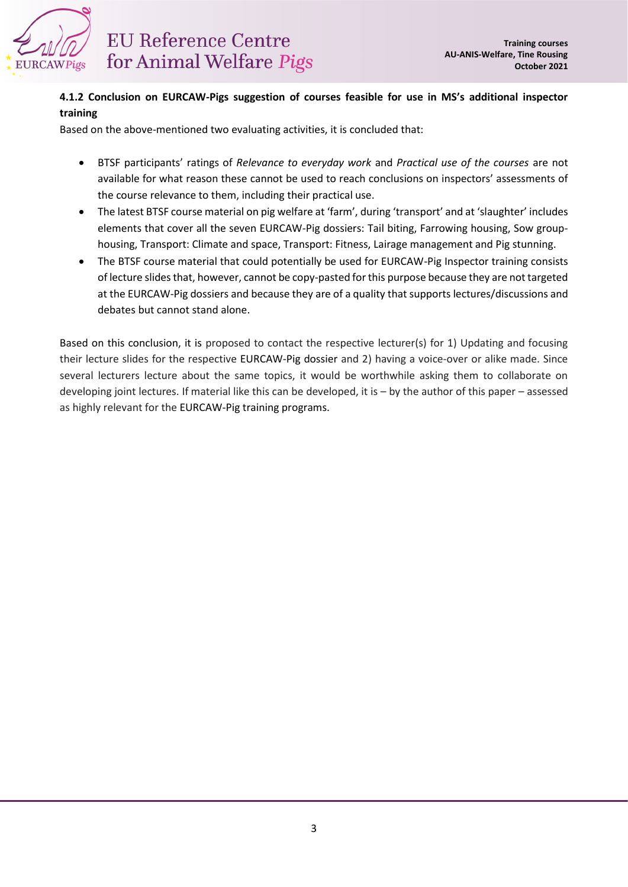

## **4.1.2 Conclusion on EURCAW-Pigs suggestion of courses feasible for use in MS's additional inspector training**

Based on the above-mentioned two evaluating activities, it is concluded that:

- BTSF participants' ratings of *Relevance to everyday work* and *Practical use of the courses* are not available for what reason these cannot be used to reach conclusions on inspectors' assessments of the course relevance to them, including their practical use.
- The latest BTSF course material on pig welfare at 'farm', during 'transport' and at 'slaughter' includes elements that cover all the seven EURCAW-Pig dossiers: Tail biting, Farrowing housing, Sow grouphousing, Transport: Climate and space, Transport: Fitness, Lairage management and Pig stunning.
- The BTSF course material that could potentially be used for EURCAW-Pig Inspector training consists of lecture slides that, however, cannot be copy-pasted for this purpose because they are not targeted at the EURCAW-Pig dossiers and because they are of a quality that supports lectures/discussions and debates but cannot stand alone.

Based on this conclusion, it is proposed to contact the respective lecturer(s) for 1) Updating and focusing their lecture slides for the respective EURCAW-Pig dossier and 2) having a voice-over or alike made. Since several lecturers lecture about the same topics, it would be worthwhile asking them to collaborate on developing joint lectures. If material like this can be developed, it is – by the author of this paper – assessed as highly relevant for the EURCAW-Pig training programs.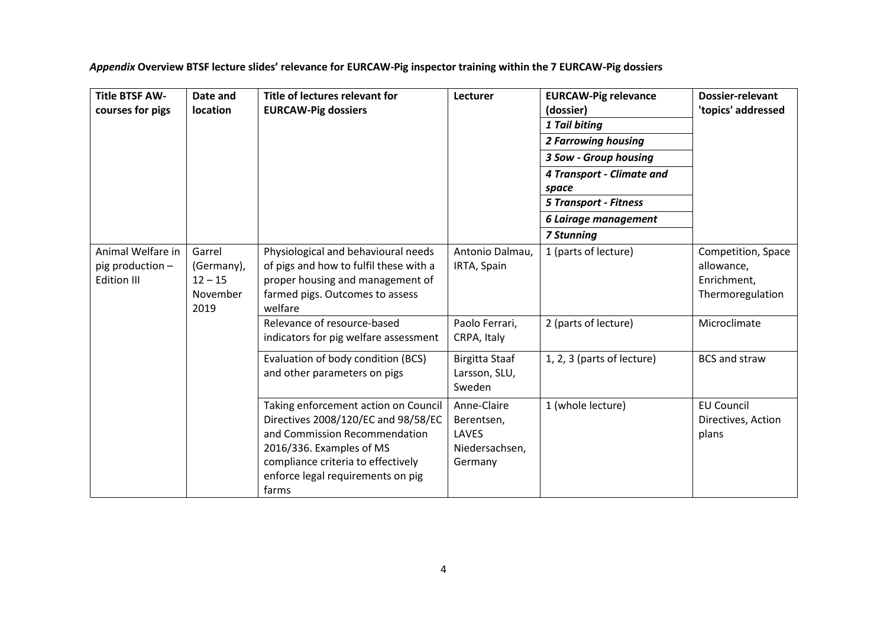*Appendix* **Overview BTSF lecture slides' relevance for EURCAW-Pig inspector training within the 7 EURCAW-Pig dossiers**

| <b>Title BTSF AW-</b><br>courses for pigs                   | Date and<br>location                                  | Title of lectures relevant for<br><b>EURCAW-Pig dossiers</b>                                                                                                                                                                 | Lecturer                                                        | <b>EURCAW-Pig relevance</b><br>(dossier)<br>1 Tail biting<br><b>2 Farrowing housing</b><br>3 Sow - Group housing<br>4 Transport - Climate and<br>space<br><b>5 Transport - Fitness</b><br>6 Lairage management<br><b>7 Stunning</b> | <b>Dossier-relevant</b><br>'topics' addressed                       |
|-------------------------------------------------------------|-------------------------------------------------------|------------------------------------------------------------------------------------------------------------------------------------------------------------------------------------------------------------------------------|-----------------------------------------------------------------|-------------------------------------------------------------------------------------------------------------------------------------------------------------------------------------------------------------------------------------|---------------------------------------------------------------------|
| Animal Welfare in<br>pig production -<br><b>Edition III</b> | Garrel<br>(Germany),<br>$12 - 15$<br>November<br>2019 | Physiological and behavioural needs<br>of pigs and how to fulfil these with a<br>proper housing and management of<br>farmed pigs. Outcomes to assess<br>welfare                                                              | Antonio Dalmau,<br>IRTA, Spain                                  | 1 (parts of lecture)                                                                                                                                                                                                                | Competition, Space<br>allowance,<br>Enrichment,<br>Thermoregulation |
|                                                             |                                                       | Relevance of resource-based<br>indicators for pig welfare assessment                                                                                                                                                         | Paolo Ferrari,<br>CRPA, Italy                                   | 2 (parts of lecture)                                                                                                                                                                                                                | Microclimate                                                        |
|                                                             |                                                       | Evaluation of body condition (BCS)<br>and other parameters on pigs                                                                                                                                                           | Birgitta Staaf<br>Larsson, SLU,<br>Sweden                       | 1, 2, 3 (parts of lecture)                                                                                                                                                                                                          | <b>BCS and straw</b>                                                |
|                                                             |                                                       | Taking enforcement action on Council<br>Directives 2008/120/EC and 98/58/EC<br>and Commission Recommendation<br>2016/336. Examples of MS<br>compliance criteria to effectively<br>enforce legal requirements on pig<br>farms | Anne-Claire<br>Berentsen,<br>LAVES<br>Niedersachsen,<br>Germany | 1 (whole lecture)                                                                                                                                                                                                                   | <b>EU Council</b><br>Directives, Action<br>plans                    |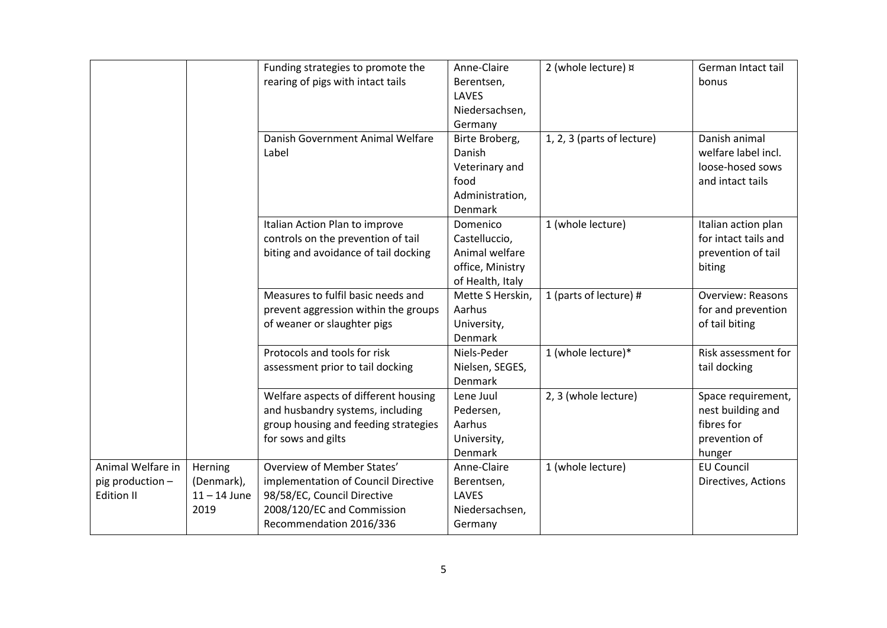|                                                     |                                                 | Funding strategies to promote the<br>rearing of pigs with intact tails                                                                                    | Anne-Claire<br>Berentsen,<br>LAVES<br>Niedersachsen,<br>Germany                         | 2 (whole lecture) x        | German Intact tail<br>bonus                                                      |
|-----------------------------------------------------|-------------------------------------------------|-----------------------------------------------------------------------------------------------------------------------------------------------------------|-----------------------------------------------------------------------------------------|----------------------------|----------------------------------------------------------------------------------|
|                                                     |                                                 | Danish Government Animal Welfare<br>Label                                                                                                                 | Birte Broberg,<br>Danish<br>Veterinary and<br>food<br>Administration,<br><b>Denmark</b> | 1, 2, 3 (parts of lecture) | Danish animal<br>welfare label incl.<br>loose-hosed sows<br>and intact tails     |
|                                                     |                                                 | Italian Action Plan to improve<br>controls on the prevention of tail<br>biting and avoidance of tail docking                                              | Domenico<br>Castelluccio,<br>Animal welfare<br>office, Ministry<br>of Health, Italy     | 1 (whole lecture)          | Italian action plan<br>for intact tails and<br>prevention of tail<br>biting      |
|                                                     |                                                 | Measures to fulfil basic needs and<br>prevent aggression within the groups<br>of weaner or slaughter pigs                                                 | Mette S Herskin,<br>Aarhus<br>University,<br>Denmark                                    | 1 (parts of lecture) #     | <b>Overview: Reasons</b><br>for and prevention<br>of tail biting                 |
|                                                     |                                                 | Protocols and tools for risk<br>assessment prior to tail docking                                                                                          | Niels-Peder<br>Nielsen, SEGES,<br><b>Denmark</b>                                        | 1 (whole lecture)*         | Risk assessment for<br>tail docking                                              |
|                                                     |                                                 | Welfare aspects of different housing<br>and husbandry systems, including<br>group housing and feeding strategies<br>for sows and gilts                    | Lene Juul<br>Pedersen,<br>Aarhus<br>University,<br>Denmark                              | 2, 3 (whole lecture)       | Space requirement,<br>nest building and<br>fibres for<br>prevention of<br>hunger |
| Animal Welfare in<br>pig production -<br>Edition II | Herning<br>(Denmark),<br>$11 - 14$ June<br>2019 | Overview of Member States'<br>implementation of Council Directive<br>98/58/EC, Council Directive<br>2008/120/EC and Commission<br>Recommendation 2016/336 | Anne-Claire<br>Berentsen,<br><b>LAVES</b><br>Niedersachsen,<br>Germany                  | 1 (whole lecture)          | <b>EU Council</b><br>Directives, Actions                                         |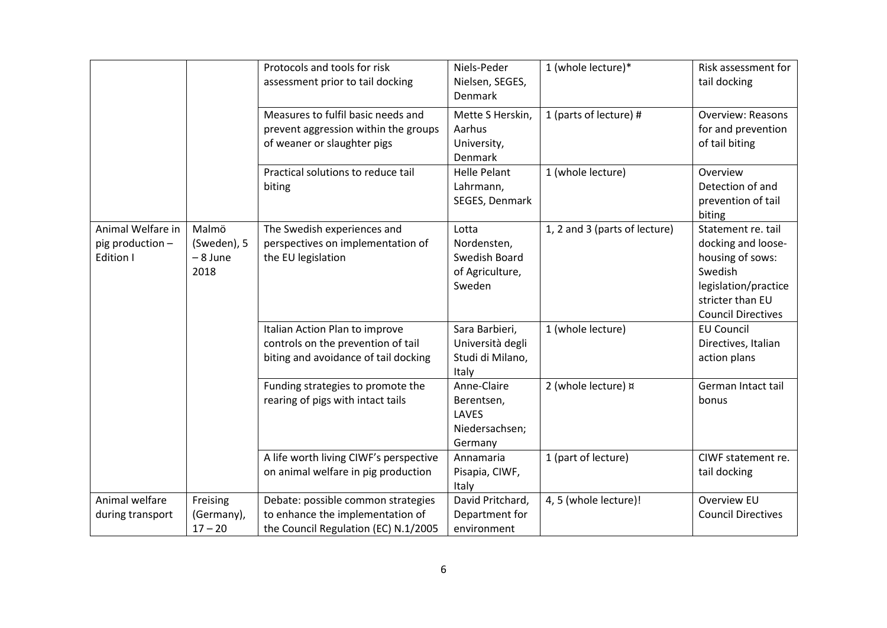|                                                           |                                          | Protocols and tools for risk<br>assessment prior to tail docking                                               | Niels-Peder<br>Nielsen, SEGES,<br><b>Denmark</b>                   | 1 (whole lecture)*            | Risk assessment for<br>tail docking                                                                                                              |
|-----------------------------------------------------------|------------------------------------------|----------------------------------------------------------------------------------------------------------------|--------------------------------------------------------------------|-------------------------------|--------------------------------------------------------------------------------------------------------------------------------------------------|
|                                                           |                                          | Measures to fulfil basic needs and<br>prevent aggression within the groups<br>of weaner or slaughter pigs      | Mette S Herskin,<br>Aarhus<br>University,<br>Denmark               | 1 (parts of lecture) #        | <b>Overview: Reasons</b><br>for and prevention<br>of tail biting                                                                                 |
|                                                           |                                          | Practical solutions to reduce tail<br>biting                                                                   | <b>Helle Pelant</b><br>Lahrmann,<br>SEGES, Denmark                 | 1 (whole lecture)             | Overview<br>Detection of and<br>prevention of tail<br>biting                                                                                     |
| Animal Welfare in<br>pig production -<br><b>Edition I</b> | Malmö<br>(Sweden), 5<br>- 8 June<br>2018 | The Swedish experiences and<br>perspectives on implementation of<br>the EU legislation                         | Lotta<br>Nordensten,<br>Swedish Board<br>of Agriculture,<br>Sweden | 1, 2 and 3 (parts of lecture) | Statement re. tail<br>docking and loose-<br>housing of sows:<br>Swedish<br>legislation/practice<br>stricter than EU<br><b>Council Directives</b> |
|                                                           |                                          | Italian Action Plan to improve<br>controls on the prevention of tail<br>biting and avoidance of tail docking   | Sara Barbieri,<br>Università degli<br>Studi di Milano,<br>Italy    | 1 (whole lecture)             | <b>EU Council</b><br>Directives, Italian<br>action plans                                                                                         |
|                                                           |                                          | Funding strategies to promote the<br>rearing of pigs with intact tails                                         | Anne-Claire<br>Berentsen,<br>LAVES<br>Niedersachsen;<br>Germany    | 2 (whole lecture) x           | German Intact tail<br>bonus                                                                                                                      |
|                                                           |                                          | A life worth living CIWF's perspective<br>on animal welfare in pig production                                  | Annamaria<br>Pisapia, CIWF,<br>Italy                               | 1 (part of lecture)           | CIWF statement re.<br>tail docking                                                                                                               |
| Animal welfare<br>during transport                        | Freising<br>(Germany),<br>$17 - 20$      | Debate: possible common strategies<br>to enhance the implementation of<br>the Council Regulation (EC) N.1/2005 | David Pritchard,<br>Department for<br>environment                  | 4, 5 (whole lecture)!         | Overview EU<br><b>Council Directives</b>                                                                                                         |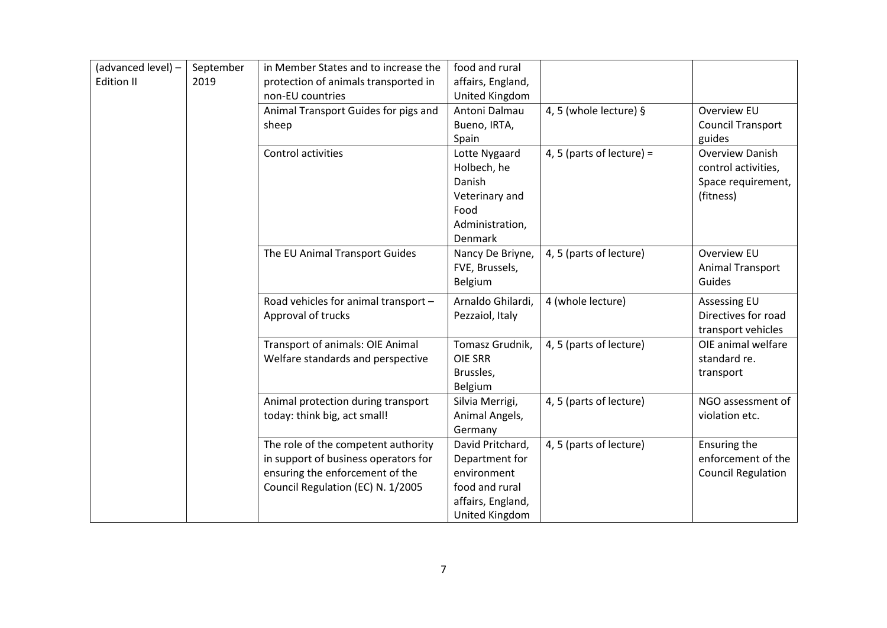| (advanced level) -<br><b>Edition II</b> | September<br>2019 | in Member States and to increase the<br>protection of animals transported in | food and rural<br>affairs, England, |                           |                           |
|-----------------------------------------|-------------------|------------------------------------------------------------------------------|-------------------------------------|---------------------------|---------------------------|
|                                         |                   | non-EU countries                                                             | United Kingdom                      |                           |                           |
|                                         |                   | Animal Transport Guides for pigs and                                         | Antoni Dalmau                       | 4, 5 (whole lecture) §    | Overview EU               |
|                                         |                   | sheep                                                                        | Bueno, IRTA,                        |                           | <b>Council Transport</b>  |
|                                         |                   |                                                                              | Spain                               |                           | guides                    |
|                                         |                   | Control activities                                                           | Lotte Nygaard                       | 4, 5 (parts of lecture) = | <b>Overview Danish</b>    |
|                                         |                   |                                                                              | Holbech, he                         |                           | control activities,       |
|                                         |                   |                                                                              | Danish                              |                           | Space requirement,        |
|                                         |                   |                                                                              | Veterinary and                      |                           | (fitness)                 |
|                                         |                   |                                                                              | Food                                |                           |                           |
|                                         |                   |                                                                              | Administration,                     |                           |                           |
|                                         |                   |                                                                              | Denmark                             |                           |                           |
|                                         |                   | The EU Animal Transport Guides                                               | Nancy De Briyne,                    | 4, 5 (parts of lecture)   | Overview EU               |
|                                         |                   |                                                                              | FVE, Brussels,                      |                           | Animal Transport          |
|                                         |                   |                                                                              | Belgium                             |                           | Guides                    |
|                                         |                   | Road vehicles for animal transport -                                         | Arnaldo Ghilardi,                   | 4 (whole lecture)         | <b>Assessing EU</b>       |
|                                         |                   | Approval of trucks                                                           | Pezzaiol, Italy                     |                           | Directives for road       |
|                                         |                   |                                                                              |                                     |                           | transport vehicles        |
|                                         |                   | Transport of animals: OIE Animal                                             | Tomasz Grudnik,                     | 4, 5 (parts of lecture)   | OIE animal welfare        |
|                                         |                   | Welfare standards and perspective                                            | <b>OIE SRR</b>                      |                           | standard re.              |
|                                         |                   |                                                                              | Brussles,                           |                           | transport                 |
|                                         |                   |                                                                              | Belgium                             |                           |                           |
|                                         |                   | Animal protection during transport                                           | Silvia Merrigi,                     | 4, 5 (parts of lecture)   | NGO assessment of         |
|                                         |                   | today: think big, act small!                                                 | Animal Angels,                      |                           | violation etc.            |
|                                         |                   |                                                                              | Germany                             |                           |                           |
|                                         |                   | The role of the competent authority                                          | David Pritchard,                    | 4, 5 (parts of lecture)   | Ensuring the              |
|                                         |                   | in support of business operators for                                         | Department for                      |                           | enforcement of the        |
|                                         |                   | ensuring the enforcement of the                                              | environment                         |                           | <b>Council Regulation</b> |
|                                         |                   | Council Regulation (EC) N. 1/2005                                            | food and rural                      |                           |                           |
|                                         |                   |                                                                              | affairs, England,                   |                           |                           |
|                                         |                   |                                                                              | United Kingdom                      |                           |                           |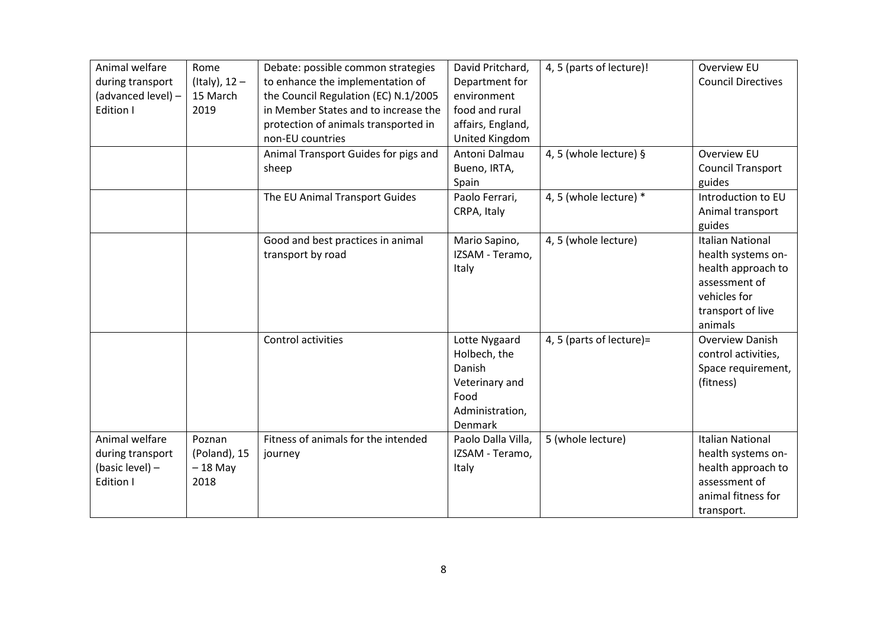| Animal welfare<br>during transport<br>(advanced level) -<br>Edition I | Rome<br>(Italy), $12 -$<br>15 March<br>2019 | Debate: possible common strategies<br>to enhance the implementation of<br>the Council Regulation (EC) N.1/2005<br>in Member States and to increase the<br>protection of animals transported in<br>non-EU countries | David Pritchard,<br>Department for<br>environment<br>food and rural<br>affairs, England,<br><b>United Kingdom</b> | 4, 5 (parts of lecture)! | Overview EU<br><b>Council Directives</b>                                                                                             |
|-----------------------------------------------------------------------|---------------------------------------------|--------------------------------------------------------------------------------------------------------------------------------------------------------------------------------------------------------------------|-------------------------------------------------------------------------------------------------------------------|--------------------------|--------------------------------------------------------------------------------------------------------------------------------------|
|                                                                       |                                             | Animal Transport Guides for pigs and<br>sheep                                                                                                                                                                      | Antoni Dalmau<br>Bueno, IRTA,<br>Spain                                                                            | 4, 5 (whole lecture) §   | <b>Overview EU</b><br><b>Council Transport</b><br>guides                                                                             |
|                                                                       |                                             | The EU Animal Transport Guides                                                                                                                                                                                     | Paolo Ferrari,<br>CRPA, Italy                                                                                     | 4, 5 (whole lecture) *   | Introduction to EU<br>Animal transport<br>guides                                                                                     |
|                                                                       |                                             | Good and best practices in animal<br>transport by road                                                                                                                                                             | Mario Sapino,<br>IZSAM - Teramo,<br>Italy                                                                         | 4, 5 (whole lecture)     | <b>Italian National</b><br>health systems on-<br>health approach to<br>assessment of<br>vehicles for<br>transport of live<br>animals |
|                                                                       |                                             | Control activities                                                                                                                                                                                                 | Lotte Nygaard<br>Holbech, the<br>Danish<br>Veterinary and<br>Food<br>Administration,<br><b>Denmark</b>            | 4, 5 (parts of lecture)= | Overview Danish<br>control activities,<br>Space requirement,<br>(fitness)                                                            |
| Animal welfare<br>during transport<br>(basic level) -<br>Edition I    | Poznan<br>(Poland), 15<br>$-18$ May<br>2018 | Fitness of animals for the intended<br>journey                                                                                                                                                                     | Paolo Dalla Villa,<br>IZSAM - Teramo,<br>Italy                                                                    | 5 (whole lecture)        | <b>Italian National</b><br>health systems on-<br>health approach to<br>assessment of<br>animal fitness for<br>transport.             |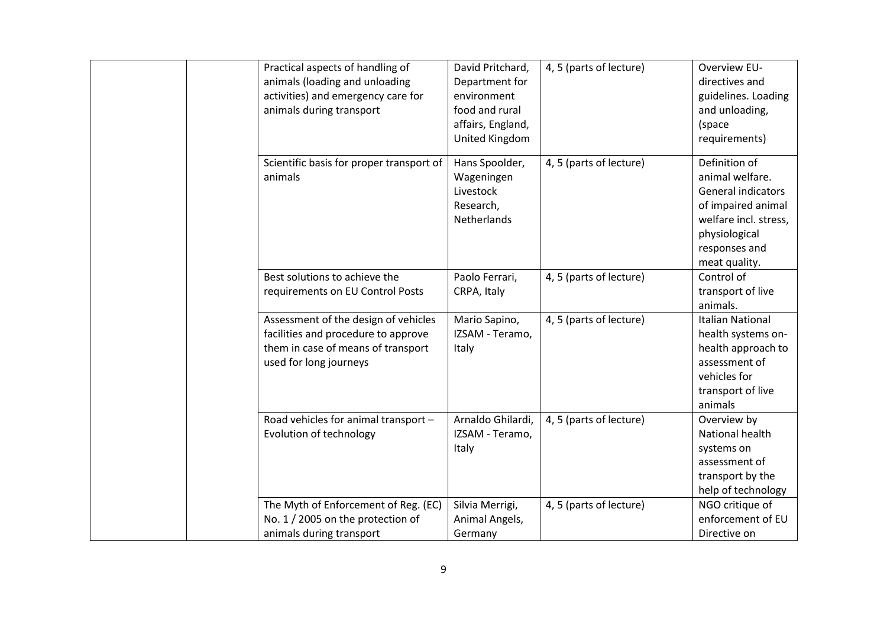| Practical aspects of handling of<br>animals (loading and unloading<br>activities) and emergency care for<br>animals during transport        | David Pritchard,<br>Department for<br>environment<br>food and rural<br>affairs, England,<br>United Kingdom | 4, 5 (parts of lecture) | <b>Overview EU-</b><br>directives and<br>guidelines. Loading<br>and unloading,<br>(space<br>requirements)                                                       |
|---------------------------------------------------------------------------------------------------------------------------------------------|------------------------------------------------------------------------------------------------------------|-------------------------|-----------------------------------------------------------------------------------------------------------------------------------------------------------------|
| Scientific basis for proper transport of<br>animals                                                                                         | Hans Spoolder,<br>Wageningen<br>Livestock<br>Research,<br>Netherlands                                      | 4, 5 (parts of lecture) | Definition of<br>animal welfare.<br><b>General indicators</b><br>of impaired animal<br>welfare incl. stress,<br>physiological<br>responses and<br>meat quality. |
| Best solutions to achieve the                                                                                                               | Paolo Ferrari,                                                                                             | 4, 5 (parts of lecture) | Control of                                                                                                                                                      |
| requirements on EU Control Posts                                                                                                            | CRPA, Italy                                                                                                |                         | transport of live<br>animals.                                                                                                                                   |
| Assessment of the design of vehicles<br>facilities and procedure to approve<br>them in case of means of transport<br>used for long journeys | Mario Sapino,<br>IZSAM - Teramo,<br>Italy                                                                  | 4, 5 (parts of lecture) | <b>Italian National</b><br>health systems on-<br>health approach to<br>assessment of<br>vehicles for<br>transport of live<br>animals                            |
| Road vehicles for animal transport -<br>Evolution of technology                                                                             | Arnaldo Ghilardi,<br>IZSAM - Teramo,<br>Italy                                                              | 4, 5 (parts of lecture) | Overview by<br>National health<br>systems on<br>assessment of<br>transport by the<br>help of technology                                                         |
| The Myth of Enforcement of Reg. (EC)<br>No. 1 / 2005 on the protection of<br>animals during transport                                       | Silvia Merrigi,<br>Animal Angels,<br>Germany                                                               | 4, 5 (parts of lecture) | NGO critique of<br>enforcement of EU<br>Directive on                                                                                                            |